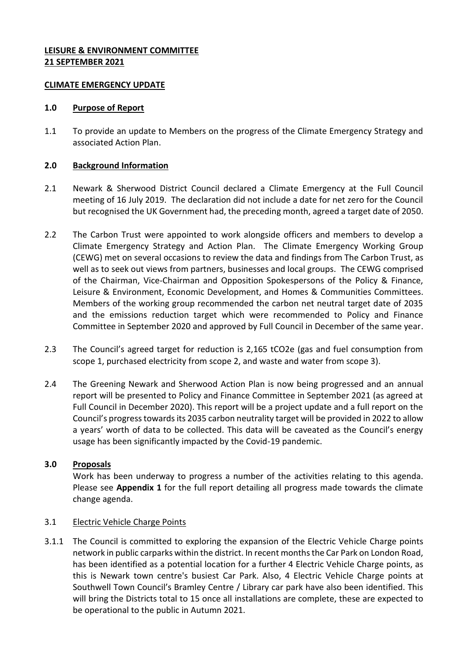#### **LEISURE & ENVIRONMENT COMMITTEE 21 SEPTEMBER 2021**

#### **CLIMATE EMERGENCY UPDATE**

#### **1.0 Purpose of Report**

1.1 To provide an update to Members on the progress of the Climate Emergency Strategy and associated Action Plan.

### **2.0 Background Information**

- 2.1 Newark & Sherwood District Council declared a Climate Emergency at the Full Council meeting of 16 July 2019. The declaration did not include a date for net zero for the Council but recognised the UK Government had, the preceding month, agreed a target date of 2050.
- 2.2 The Carbon Trust were appointed to work alongside officers and members to develop a Climate Emergency Strategy and Action Plan. The Climate Emergency Working Group (CEWG) met on several occasions to review the data and findings from The Carbon Trust, as well as to seek out views from partners, businesses and local groups. The CEWG comprised of the Chairman, Vice-Chairman and Opposition Spokespersons of the Policy & Finance, Leisure & Environment, Economic Development, and Homes & Communities Committees. Members of the working group recommended the carbon net neutral target date of 2035 and the emissions reduction target which were recommended to Policy and Finance Committee in September 2020 and approved by Full Council in December of the same year.
- 2.3 The Council's agreed target for reduction is 2,165 tCO2e (gas and fuel consumption from scope 1, purchased electricity from scope 2, and waste and water from scope 3).
- 2.4 The Greening Newark and Sherwood Action Plan is now being progressed and an annual report will be presented to Policy and Finance Committee in September 2021 (as agreed at Full Council in December 2020). This report will be a project update and a full report on the Council's progress towards its 2035 carbon neutrality target will be provided in 2022 to allow a years' worth of data to be collected. This data will be caveated as the Council's energy usage has been significantly impacted by the Covid-19 pandemic.

# **3.0 Proposals**

Work has been underway to progress a number of the activities relating to this agenda. Please see **Appendix 1** for the full report detailing all progress made towards the climate change agenda.

# 3.1 Electric Vehicle Charge Points

3.1.1 The Council is committed to exploring the expansion of the Electric Vehicle Charge points network in public carparks within the district. In recent months the Car Park on London Road, has been identified as a potential location for a further 4 Electric Vehicle Charge points, as this is Newark town centre's busiest Car Park. Also, 4 Electric Vehicle Charge points at Southwell Town Council's Bramley Centre / Library car park have also been identified. This will bring the Districts total to 15 once all installations are complete, these are expected to be operational to the public in Autumn 2021.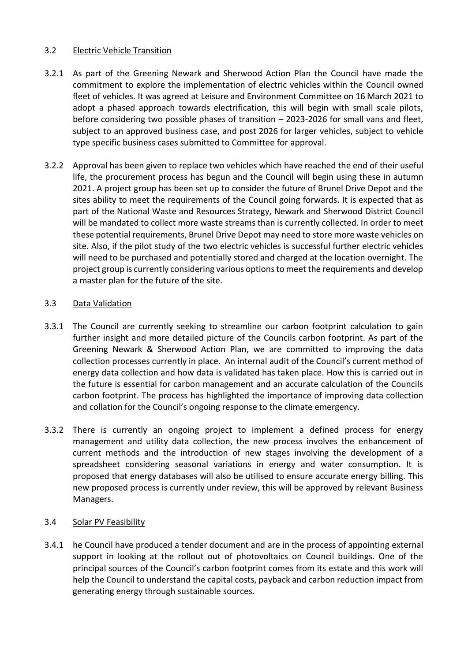### 3.2 Electric Vehicle Transition

- 3.2.1 As part of the Greening Newark and Sherwood Action Plan the Council have made the commitment to explore the implementation of electric vehicles within the Council owned fleet of vehicles. It was agreed at Leisure and Environment Committee on 16 March 2021 to adopt a phased approach towards electrification, this will begin with small scale pilots, before considering two possible phases of transition – 2023-2026 for small vans and fleet, subject to an approved business case, and post 2026 for larger vehicles, subject to vehicle type specific business cases submitted to Committee for approval.
- 3.2.2 Approval has been given to replace two vehicles which have reached the end of their useful life, the procurement process has begun and the Council will begin using these in autumn 2021. A project group has been set up to consider the future of Brunel Drive Depot and the sites ability to meet the requirements of the Council going forwards. It is expected that as part of the National Waste and Resources Strategy, Newark and Sherwood District Council will be mandated to collect more waste streams than is currently collected. In order to meet these potential requirements, Brunel Drive Depot may need to store more waste vehicles on site. Also, if the pilot study of the two electric vehicles is successful further electric vehicles will need to be purchased and potentially stored and charged at the location overnight. The project group is currently considering various options to meet the requirements and develop a master plan for the future of the site.

### 3.3 Data Validation

- 3.3.1 The Council are currently seeking to streamline our carbon footprint calculation to gain further insight and more detailed picture of the Councils carbon footprint. As part of the Greening Newark & Sherwood Action Plan, we are committed to improving the data collection processes currently in place. An internal audit of the Council's current method of energy data collection and how data is validated has taken place. How this is carried out in the future is essential for carbon management and an accurate calculation of the Councils carbon footprint. The process has highlighted the importance of improving data collection and collation for the Council's ongoing response to the climate emergency.
- 3.3.2 There is currently an ongoing project to implement a defined process for energy management and utility data collection, the new process involves the enhancement of current methods and the introduction of new stages involving the development of a spreadsheet considering seasonal variations in energy and water consumption. It is proposed that energy databases will also be utilised to ensure accurate energy billing. This new proposed process is currently under review, this will be approved by relevant Business Managers.

#### 3.4 Solar PV Feasibility

3.4.1 he Council have produced a tender document and are in the process of appointing external support in looking at the rollout out of photovoltaics on Council buildings. One of the principal sources of the Council's carbon footprint comes from its estate and this work will help the Council to understand the capital costs, payback and carbon reduction impact from generating energy through sustainable sources.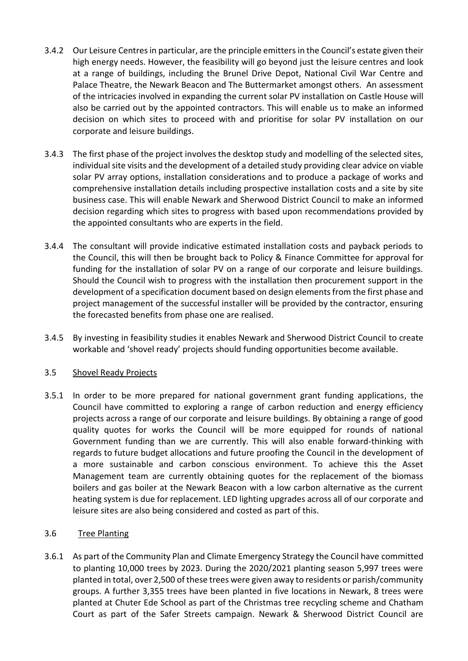- 3.4.2 Our Leisure Centres in particular, are the principle emitters in the Council's estate given their high energy needs. However, the feasibility will go beyond just the leisure centres and look at a range of buildings, including the Brunel Drive Depot, National Civil War Centre and Palace Theatre, the Newark Beacon and The Buttermarket amongst others. An assessment of the intricacies involved in expanding the current solar PV installation on Castle House will also be carried out by the appointed contractors. This will enable us to make an informed decision on which sites to proceed with and prioritise for solar PV installation on our corporate and leisure buildings.
- 3.4.3 The first phase of the project involves the desktop study and modelling of the selected sites, individual site visits and the development of a detailed study providing clear advice on viable solar PV array options, installation considerations and to produce a package of works and comprehensive installation details including prospective installation costs and a site by site business case. This will enable Newark and Sherwood District Council to make an informed decision regarding which sites to progress with based upon recommendations provided by the appointed consultants who are experts in the field.
- 3.4.4 The consultant will provide indicative estimated installation costs and payback periods to the Council, this will then be brought back to Policy & Finance Committee for approval for funding for the installation of solar PV on a range of our corporate and leisure buildings. Should the Council wish to progress with the installation then procurement support in the development of a specification document based on design elements from the first phase and project management of the successful installer will be provided by the contractor, ensuring the forecasted benefits from phase one are realised.
- 3.4.5 By investing in feasibility studies it enables Newark and Sherwood District Council to create workable and 'shovel ready' projects should funding opportunities become available.

# 3.5 Shovel Ready Projects

3.5.1 In order to be more prepared for national government grant funding applications, the Council have committed to exploring a range of carbon reduction and energy efficiency projects across a range of our corporate and leisure buildings. By obtaining a range of good quality quotes for works the Council will be more equipped for rounds of national Government funding than we are currently. This will also enable forward-thinking with regards to future budget allocations and future proofing the Council in the development of a more sustainable and carbon conscious environment. To achieve this the Asset Management team are currently obtaining quotes for the replacement of the biomass boilers and gas boiler at the Newark Beacon with a low carbon alternative as the current heating system is due for replacement. LED lighting upgrades across all of our corporate and leisure sites are also being considered and costed as part of this.

# 3.6 Tree Planting

3.6.1 As part of the Community Plan and Climate Emergency Strategy the Council have committed to planting 10,000 trees by 2023. During the 2020/2021 planting season 5,997 trees were planted in total, over 2,500 of these trees were given away to residents or parish/community groups. A further 3,355 trees have been planted in five locations in Newark, 8 trees were planted at Chuter Ede School as part of the Christmas tree recycling scheme and Chatham Court as part of the Safer Streets campaign. Newark & Sherwood District Council are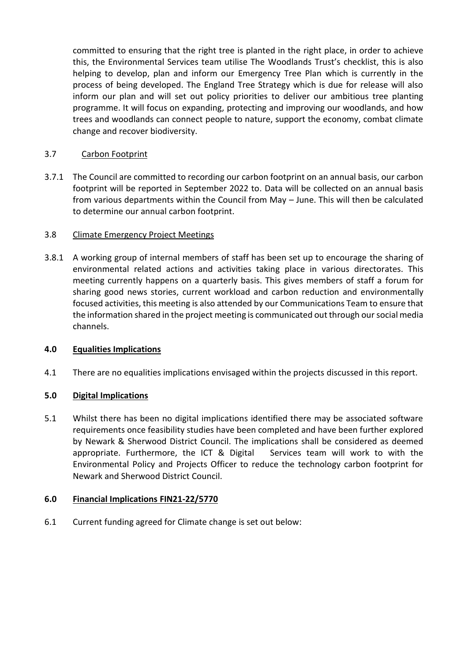committed to ensuring that the right tree is planted in the right place, in order to achieve this, the Environmental Services team utilise The Woodlands Trust's checklist, this is also helping to develop, plan and inform our Emergency Tree Plan which is currently in the process of being developed. The England Tree Strategy which is due for release will also inform our plan and will set out policy priorities to deliver our ambitious tree planting programme. It will focus on expanding, protecting and improving our woodlands, and how trees and woodlands can connect people to nature, support the economy, combat climate change and recover biodiversity.

# 3.7 Carbon Footprint

3.7.1 The Council are committed to recording our carbon footprint on an annual basis, our carbon footprint will be reported in September 2022 to. Data will be collected on an annual basis from various departments within the Council from May – June. This will then be calculated to determine our annual carbon footprint.

### 3.8 Climate Emergency Project Meetings

3.8.1 A working group of internal members of staff has been set up to encourage the sharing of environmental related actions and activities taking place in various directorates. This meeting currently happens on a quarterly basis. This gives members of staff a forum for sharing good news stories, current workload and carbon reduction and environmentally focused activities, this meeting is also attended by our Communications Team to ensure that the information shared in the project meeting is communicated out through oursocial media channels.

# **4.0 Equalities Implications**

4.1 There are no equalities implications envisaged within the projects discussed in this report.

# **5.0 Digital Implications**

5.1 Whilst there has been no digital implications identified there may be associated software requirements once feasibility studies have been completed and have been further explored by Newark & Sherwood District Council. The implications shall be considered as deemed appropriate. Furthermore, the ICT & Digital Services team will work to with the Environmental Policy and Projects Officer to reduce the technology carbon footprint for Newark and Sherwood District Council.

#### **6.0 Financial Implications FIN21-22/5770**

6.1 Current funding agreed for Climate change is set out below: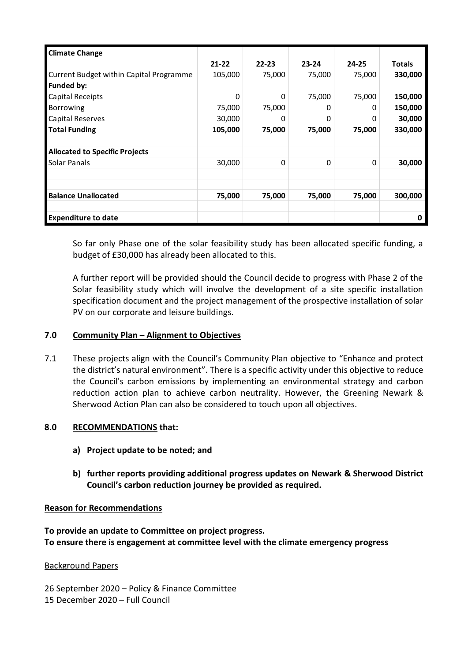| <b>Climate Change</b>                   |           |           |           |           |               |
|-----------------------------------------|-----------|-----------|-----------|-----------|---------------|
|                                         | $21 - 22$ | $22 - 23$ | $23 - 24$ | $24 - 25$ | <b>Totals</b> |
| Current Budget within Capital Programme | 105,000   | 75,000    | 75,000    | 75,000    | 330,000       |
| Funded by:                              |           |           |           |           |               |
| Capital Receipts                        | 0         | 0         | 75,000    | 75,000    | 150,000       |
| <b>Borrowing</b>                        | 75,000    | 75,000    | 0         | 0         | 150,000       |
| Capital Reserves                        | 30,000    | 0         | O         | 0         | 30,000        |
| Total Funding                           | 105,000   | 75,000    | 75,000    | 75,000    | 330,000       |
|                                         |           |           |           |           |               |
| <b>Allocated to Specific Projects</b>   |           |           |           |           |               |
| Solar Panals                            | 30,000    | 0         | 0         | $\Omega$  | 30,000        |
|                                         |           |           |           |           |               |
|                                         |           |           |           |           |               |
| <b>Balance Unallocated</b>              | 75,000    | 75,000    | 75,000    | 75,000    | 300,000       |
|                                         |           |           |           |           |               |
| <b>Expenditure to date</b>              |           |           |           |           | O             |

So far only Phase one of the solar feasibility study has been allocated specific funding, a budget of £30,000 has already been allocated to this.

A further report will be provided should the Council decide to progress with Phase 2 of the Solar feasibility study which will involve the development of a site specific installation specification document and the project management of the prospective installation of solar PV on our corporate and leisure buildings.

#### **7.0 Community Plan – Alignment to Objectives**

7.1 These projects align with the Council's Community Plan objective to "Enhance and protect the district's natural environment". There is a specific activity under this objective to reduce the Council's carbon emissions by implementing an environmental strategy and carbon reduction action plan to achieve carbon neutrality. However, the Greening Newark & Sherwood Action Plan can also be considered to touch upon all objectives.

#### **8.0 RECOMMENDATIONS that:**

- **a) Project update to be noted; and**
- **b) further reports providing additional progress updates on Newark & Sherwood District Council's carbon reduction journey be provided as required.**

#### **Reason for Recommendations**

**To provide an update to Committee on project progress. To ensure there is engagement at committee level with the climate emergency progress**

#### Background Papers

26 September 2020 – Policy & Finance Committee

15 December 2020 – Full Council